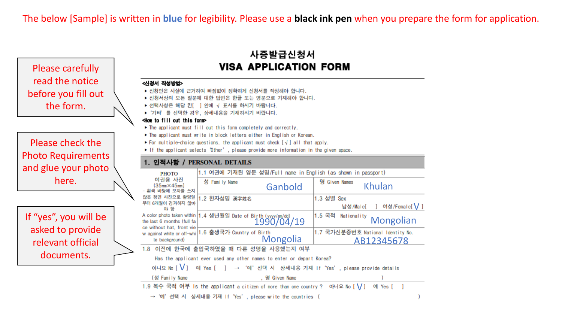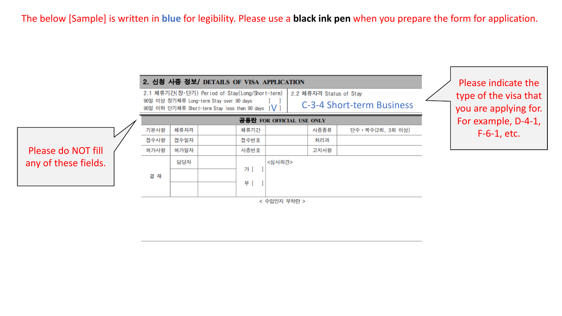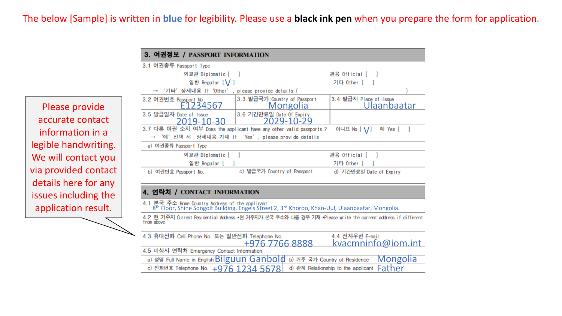Please provide accurate contact information in a legible handwriting. We will contact you via provided contact details here for any issues including the

| $0.$ Test $\mu$ in $\sigma$ in $\sigma$ in $\sigma$ in $\sigma$     |                                                 |                                              |  |  |  |  |  |  |  |
|---------------------------------------------------------------------|-------------------------------------------------|----------------------------------------------|--|--|--|--|--|--|--|
| 3.1 여권종류 Passport Type                                              |                                                 |                                              |  |  |  |  |  |  |  |
| 외교관 Diplomatic [ ]                                                  | 관용 Official [ ]                                 |                                              |  |  |  |  |  |  |  |
| 일반 Regular [V]                                                      | 기타 Other [                                      |                                              |  |  |  |  |  |  |  |
| → '기타'상세내용 If 'Other', please provide details (                     |                                                 |                                              |  |  |  |  |  |  |  |
| 3.2 여권번호 Passport No.<br>E1234567                                   | 3.3 발급국가 Country of Passport<br><b>Mongolia</b> | 3.4 발급지 Place of Issue<br><b>Ulaanbaatar</b> |  |  |  |  |  |  |  |
| 3.5 발급일자 Date of Issue<br>2019-10-30                                | 3.6 기간만료일 Date Of Expiry<br>2029-10-29          |                                              |  |  |  |  |  |  |  |
| 3.7 다른 여권 소지 여부 Does the applicant have any other valid passports ? |                                                 | 아니요 No [ \/]<br>예 Yes [                      |  |  |  |  |  |  |  |
| → '예'선택 시 상세내용 기재 If 'Yes', please provide details                  |                                                 |                                              |  |  |  |  |  |  |  |
| a) 여권종류 Passport Type                                               |                                                 |                                              |  |  |  |  |  |  |  |
| 외교관 Diplomatic [                                                    |                                                 | 관용 Official [                                |  |  |  |  |  |  |  |
| 일반 Regular [                                                        |                                                 | 기타 Other [                                   |  |  |  |  |  |  |  |
| b) 여권번호 Passport No.                                                | c) 발급국가 Country of Passport                     | d) 기간만료일 Date of Expiry                      |  |  |  |  |  |  |  |

#### 4. 연락처 / CONTACT INFORMATION

3 어귀저브 / PASSPORT INFORMATION

4.1 본국 주소 Home Country Address of the applicant<br>8<sup>th</sup> Floor, Shine Songolt Building, Engels Street 2, 3<sup>rd</sup> Khoroo, Khan-Uul, Ulaanbaatar, Mongolia.

application result.<br>
<sup>4.2</sup> B<sup>th</sup> Floor, Shine Songolt Building, Engels Street 2, 3<sup>rd</sup> Khoroo, Khan-Uul, Ulaanbaatar, Mongolia.<br>
4.2 현 거주지 Qurrent Residential Address \*현 거주지가 본국 주소와 다를 경우 기재 +Please write the current addre

| 4.3 휴대전화 Cell Phone No. 또는 일반전화 Telephone No.                                     | 4.4 전자우편 E-mail |  |                    |
|-----------------------------------------------------------------------------------|-----------------|--|--------------------|
| +976 7766 8888                                                                    |                 |  | kvacmninfo@iom.int |
| 4.5 비상시 연락처 Emergency Contact Information                                         |                 |  |                    |
| a) 성명 Full Name in English Bilguun Ganbold b) 거주 국가 Country of Residence Mongolia |                 |  |                    |
| c) 전화번호 Telephone No. $+976$ 1234 5678 d) 관계 Relationship to the applicant Father |                 |  |                    |
|                                                                                   |                 |  |                    |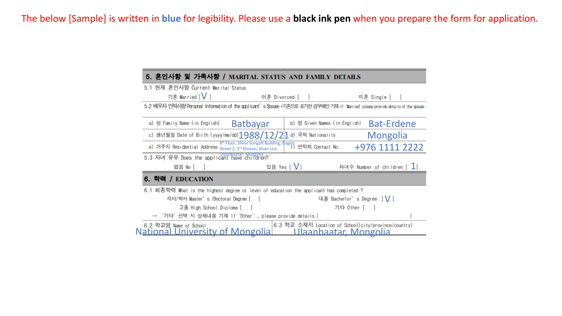| 5. 혼인사항 및 가족사항 / MARITAL STATUS AND FAMILY DETAILS                                                                  |                                                                                                                                |  |  |  |  |  |  |  |  |  |
|---------------------------------------------------------------------------------------------------------------------|--------------------------------------------------------------------------------------------------------------------------------|--|--|--|--|--|--|--|--|--|
| 5.1 현재 혼인사항 Current Marital Status                                                                                  |                                                                                                                                |  |  |  |  |  |  |  |  |  |
| 기혼 Married [V]                                                                                                      | 이혼 Divorced [   ]<br>미혼 Single [                                                                                               |  |  |  |  |  |  |  |  |  |
|                                                                                                                     | 5.2 배우자 인적시항 Personal Information of the applicant's Spouse •기혼으로 표기한 경우에만 기재 If Married' please provide details of the spouse |  |  |  |  |  |  |  |  |  |
| <b>Batbayar</b><br>a) 성 Family Name (in English)                                                                    | <b>Bat-Erdene</b><br>b) 명 Given Names (in English)                                                                             |  |  |  |  |  |  |  |  |  |
| c) 생년월일 Date of Birth (yyyy/mm/dd) $1988/12/2 1$                                                                    | d) 국적 Nationality<br><b>Mongolia</b>                                                                                           |  |  |  |  |  |  |  |  |  |
| 8 <sup>th</sup> Floor, Shine Songolt Building, Engels<br>e) 거주지 Residential Address Street 2, 3rd Khoroo, Khan-Uul, | 연락처 Contact No.<br>+976 1111 2222                                                                                              |  |  |  |  |  |  |  |  |  |
| 5.3 자녀 유무 Does the applicant have children?                                                                         |                                                                                                                                |  |  |  |  |  |  |  |  |  |
| 없음 No [                                                                                                             | 있음 Yes [ V]<br>자녀수 Number of children [ 1]                                                                                     |  |  |  |  |  |  |  |  |  |
| 6. 학력 / EDUCATION                                                                                                   |                                                                                                                                |  |  |  |  |  |  |  |  |  |
| 6.1 최종학력 What is the highest degree or level of education the applicant has completed ?                             |                                                                                                                                |  |  |  |  |  |  |  |  |  |
| 석사/박사 Master's /Doctoral Degree [                                                                                   | 대졸 Bachelor's Degree [ V ]                                                                                                     |  |  |  |  |  |  |  |  |  |
| 고졸 High School Diploma [                                                                                            | 기타 Other [                                                                                                                     |  |  |  |  |  |  |  |  |  |
| → '기타'선택 시 상세내용 기재 If'Other', please provide details (                                                              |                                                                                                                                |  |  |  |  |  |  |  |  |  |
| 6.2 학교명 Name of School<br><u>National University of Mongolial</u>                                                   | 6.3 학교 소재지 Location of School(city/province/country)<br><u> Ulaanbaatar Mongolia</u>                                           |  |  |  |  |  |  |  |  |  |
|                                                                                                                     |                                                                                                                                |  |  |  |  |  |  |  |  |  |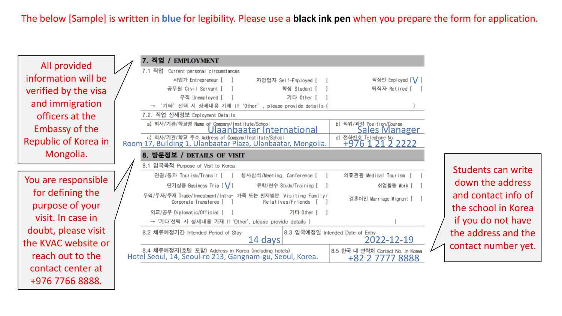| All provided          | 7. 직업<br><b>EMPLOYMENT</b>                                                                                         |                                                      |
|-----------------------|--------------------------------------------------------------------------------------------------------------------|------------------------------------------------------|
|                       | 7.1 직업 Current personal circumstances                                                                              |                                                      |
| information will be   | 사업가 Entrepreneur [ ]<br>자영업자 Self-Employed [                                                                       | 직장인 Employed [V]                                     |
| verified by the visa  | 공무원 Civil Servant [<br>학생 Student [                                                                                | 퇴직자 Retired [                                        |
| and immigration       | 기타 Other  <br>무직 Unemployed [                                                                                      |                                                      |
|                       | '기타'선택 시 상세내용 기재 If 'Other', please provide details (                                                              |                                                      |
| officers at the       | 7.2. 직업 상세정보 Employment Details                                                                                    |                                                      |
| <b>Embassy of the</b> | a) 회사/기관/학교명 Name of Company/Institute/School<br>Ulaanbaatar International                                         | b) 직위/과정 Position/Course<br><b>Sales Manager</b>     |
| Republic of Korea in  | c) 회사/기관/학교 주소 Address of Company/Institute/School<br>Room 17, Building 1, Ulanbaatar Plaza, Ulanbaatar, Mongolia. | d) 전화번호 Telephone No.<br>+976 1 21 2 2222            |
| Mongolia.             | 8. 방문정보 / DETAILS OF VISIT                                                                                         |                                                      |
|                       | 8.1 입국목적 Purpose of Visit to Korea                                                                                 |                                                      |
|                       | 관광/통과 Tourism/Transit [ ]<br>행사참석/Meeting, Conference [                                                            | 의료관광 Medical Tourism                                 |
| You are responsible   | 단기상용 Business Trip [ \/ ]<br>유학/연수 Study/Training [ ]                                                              | 취업활동 Work [                                          |
| for defining the      | 무역/투자/주재 Trade/Investment/Intra- 가족 또는 친지방문 Visiting Family/<br>Corporate Transferee [ ]<br>Relatives/Friends      | 결혼이민 Marriage Migrant [ ]                            |
| purpose of your       |                                                                                                                    |                                                      |
| visit. In case in     | 외교/공무 Diplomatic/Official [<br>기타 Other                                                                            |                                                      |
|                       | → '기타'선택 시 상세내용 기재 If 'Other', please provide details (                                                            |                                                      |
| doubt, please visit   | 8.3 입국예정일 Intended Date of Entry<br>8.2 체류예정기간 Intended Period of Stay                                             | 2022-12-19                                           |
| the KVAC website or   | 14 days                                                                                                            |                                                      |
| reach out to the      | 8.4 체류예정지(호텔 포함) Address in Korea (including hotels)<br>Hotel Seoul, 14, Seoul-ro 213, Gangnam-gu, Seoul, Korea.   | 8.5 한국 내 연락처 Contact No. in Korea<br>+82 2 7777 8888 |
| contact center at     |                                                                                                                    |                                                      |
| +976 7766 8888.       |                                                                                                                    |                                                      |

Students can write down the address and contact info of the school in Korea if you do not have the address and the  $\sim$  contact number yet.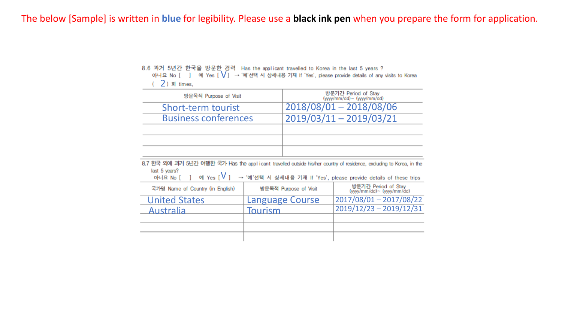|                |  |  |  |  |  | 아니요 No [ ] 예 Yes [Ⅴ] → '예'선택 시 상세내용 기재 If 'Yes', please provide details of any visits to Korea |  |  |  |  |  |  |
|----------------|--|--|--|--|--|------------------------------------------------------------------------------------------------|--|--|--|--|--|--|
| $(2)$ 회 times, |  |  |  |  |  |                                                                                                |  |  |  |  |  |  |

| 방문목적 Purpose of Visit                                                                                                                                              |         |                           | 방문기간 Period of Stay<br>(yyyy/mm/dd)~ (yyyy/mm/dd)                 |  |
|--------------------------------------------------------------------------------------------------------------------------------------------------------------------|---------|---------------------------|-------------------------------------------------------------------|--|
| Short-term tourist                                                                                                                                                 |         | $2018/08/01 - 2018/08/06$ |                                                                   |  |
| <b>Business conferences</b>                                                                                                                                        |         | 2019/03/11 - 2019/03/21   |                                                                   |  |
|                                                                                                                                                                    |         |                           |                                                                   |  |
|                                                                                                                                                                    |         |                           |                                                                   |  |
|                                                                                                                                                                    |         |                           |                                                                   |  |
| 8.7 한국 외에 과거 5년간 여행한 국가 Has the applicant travelled outside his/her country of residence, excluding to Korea, in the<br>last 5 years?<br>$M$ Yes $[V]$<br>아니요 No [ |         |                           | → '예'선택 시 상세내용 기재 If 'Yes', please provide details of these trips |  |
| 국가명 Name of Country (in English)                                                                                                                                   |         | 방문목적 Purpose of Visit     | 방문기간 Period of Stay<br>(yyyy/mm/dd)~ (yyyy/mm/dd)                 |  |
| <b>United States</b>                                                                                                                                               |         |                           |                                                                   |  |
|                                                                                                                                                                    |         | <b>Language Course</b>    | 2017/08/01 - 2017/08/22                                           |  |
| Australia                                                                                                                                                          | Tourism |                           | $2019/12/23 - 2019/12/31$                                         |  |
|                                                                                                                                                                    |         |                           |                                                                   |  |
|                                                                                                                                                                    |         |                           |                                                                   |  |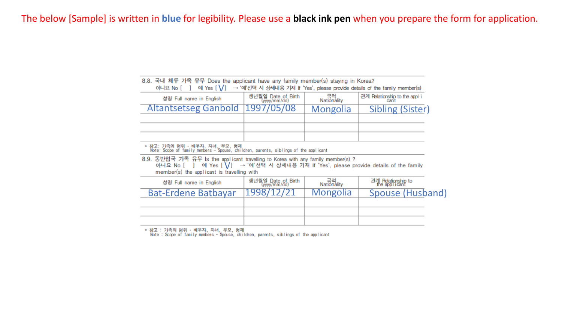| 8.8. 국내 체류 가족 유무 Does the applicant have any family member(s) staying in Korea?<br>→ '예'선택 시 상세내용 기재 If 'Yes', please provide details of the family member(s)<br>아니요 No [ ]<br>예 Yes $[\ \bigvee]$                           |                    |                   |                                     |  |  |  |  |  |  |
|------------------------------------------------------------------------------------------------------------------------------------------------------------------------------------------------------------------------------|--------------------|-------------------|-------------------------------------|--|--|--|--|--|--|
| 국적<br>Nationality<br>생년월일 Date of Birth<br>(yyyy/mm/dd)<br>관계 Relationship to the appli<br>성명 Full name in English<br>cant                                                                                                   |                    |                   |                                     |  |  |  |  |  |  |
| <b>Altantsetseg Ganbold</b>                                                                                                                                                                                                  | 1997/05/08         | <b>Mongolia</b>   | <b>Sibling (Sister)</b>             |  |  |  |  |  |  |
|                                                                                                                                                                                                                              |                    |                   |                                     |  |  |  |  |  |  |
|                                                                                                                                                                                                                              |                    |                   |                                     |  |  |  |  |  |  |
| * 참고: 가족의 범위 – 배우자, 자녀, 부모, 형제<br>- Note: Scope of family members - Spouse, children, parents, siblings of the applicant                                                                                                     |                    |                   |                                     |  |  |  |  |  |  |
| 8.9. 동반입국 가족 유무 Is the applicant travelling to Korea with any family member(s) ?<br>예 Yes [ V ] → '예'선택 시 상세내용 기재 If 'Yes', please provide details of the family<br>아니요 No [ ]<br>member(s) the applicant is travelling with |                    |                   |                                     |  |  |  |  |  |  |
| 성명 Full name in English                                                                                                                                                                                                      | 생년월일 Date of Birth | 국적<br>Nationality | 관계 Relationship to<br>the applicant |  |  |  |  |  |  |
| <b>Bat-Erdene Batbayar</b>                                                                                                                                                                                                   | 1998/12/21         | <b>Mongolia</b>   | Spouse (Husband)                    |  |  |  |  |  |  |
|                                                                                                                                                                                                                              |                    |                   |                                     |  |  |  |  |  |  |
|                                                                                                                                                                                                                              |                    |                   |                                     |  |  |  |  |  |  |

\* 참고 : 가족의 범위 – 배우자, 자녀, 부모, 형제<br>- Note : Scope of family members - Spouse, children, parents, siblings of the applicant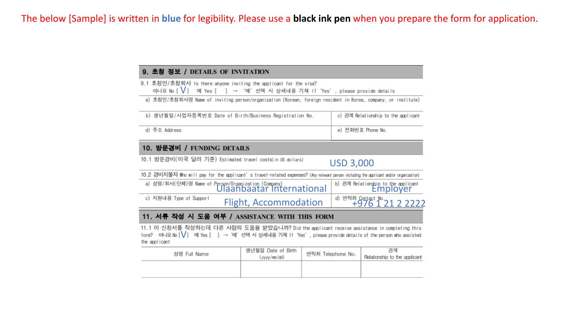#### 9. 초청 정보 / DETAILS OF INVITATION

9.1 초청인/초청회사 Is there anyone inviting the applicant for the visa?<br>- 아니요 No [✔] 예 Yes [ ] → '예'선택 시 상세내용 기재 If 'Yes', please provide details<br>- a) 초청인/초청회사명 Name of inviting person/organization (Korean, foreign resident in

| b) 생년월일/사업자등록번호 Date of Birth/Business Registration No. | c) 관계 Relationship to the applicant |
|---------------------------------------------------------|-------------------------------------|
| d) 주소 Address                                           | e) 전화번호 Phone No.                   |

#### 10. 방문경비 / FUNDING DETAILS

10.1 방문경비(미국 달러 기준) Estimated travel costs(in US dollars)

### USD 3,000

10.2 경비지불자 Who will pay for the applicant's travel-related expenses? (Any relevant parson including the applicant and/or organization)

|                         | a) 성명/회사(단체)명 Name of Person/Organization (Company)<br>  Ulaanbaatar International | b) 관계 Relationship to the applicant<br>EMDIOVEN |
|-------------------------|------------------------------------------------------------------------------------|-------------------------------------------------|
| c) 지원내용 Type of Support | <b>Flight, Accommodation</b>                                                       | d) 연락처 Contact No.<br>+976 1 21 2 2222          |

#### 11. 서류 작성 시 도움 여부 / ASSISTANCE WITH THIS FORM

11.1 이 신청서를 작성하는데 다른 사람의 도움을 받았습니까? Did the applicant receive assistance in completing this<br>form? 아니요No [✔] 예 Yes [ ] → '예'선택 시 상세내용 기재 If 'Yes', please provide details of the person who assisted the applicant

| 성명 Full Name | 생년월일 Date of Birth<br>(yyyy/mm/dd) | 연락처 Telephone No. | 관계<br>Relationship to the applicant |  |  |  |
|--------------|------------------------------------|-------------------|-------------------------------------|--|--|--|
|              |                                    |                   |                                     |  |  |  |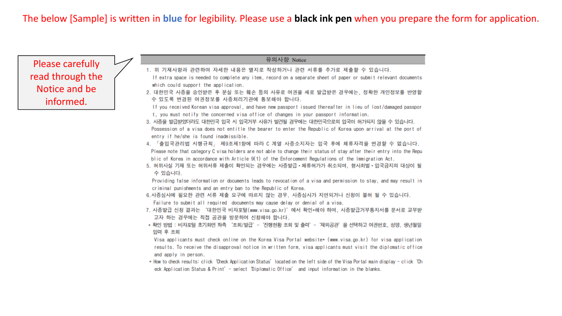